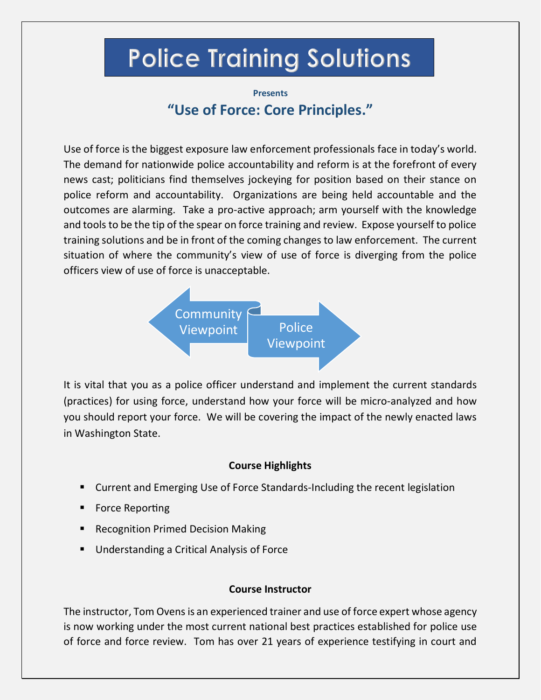## **Police Training Solutions**

## **Presents "Use of Force: Core Principles."**

Use of force is the biggest exposure law enforcement professionals face in today's world. The demand for nationwide police accountability and reform is at the forefront of every news cast; politicians find themselves jockeying for position based on their stance on police reform and accountability. Organizations are being held accountable and the outcomes are alarming. Take a pro-active approach; arm yourself with the knowledge and tools to be the tip of the spear on force training and review. Expose yourself to police training solutions and be in front of the coming changes to law enforcement. The current situation of where the community's view of use of force is diverging from the police officers view of use of force is unacceptable.



It is vital that you as a police officer understand and implement the current standards (practices) for using force, understand how your force will be micro-analyzed and how you should report your force. We will be covering the impact of the newly enacted laws in Washington State.

## **Course Highlights**

- Current and Emerging Use of Force Standards-Including the recent legislation
- Force Reporting
- Recognition Primed Decision Making
- Understanding a Critical Analysis of Force

## **Course Instructor**

The instructor, Tom Ovens is an experienced trainer and use of force expert whose agency is now working under the most current national best practices established for police use of force and force review. Tom has over 21 years of experience testifying in court and